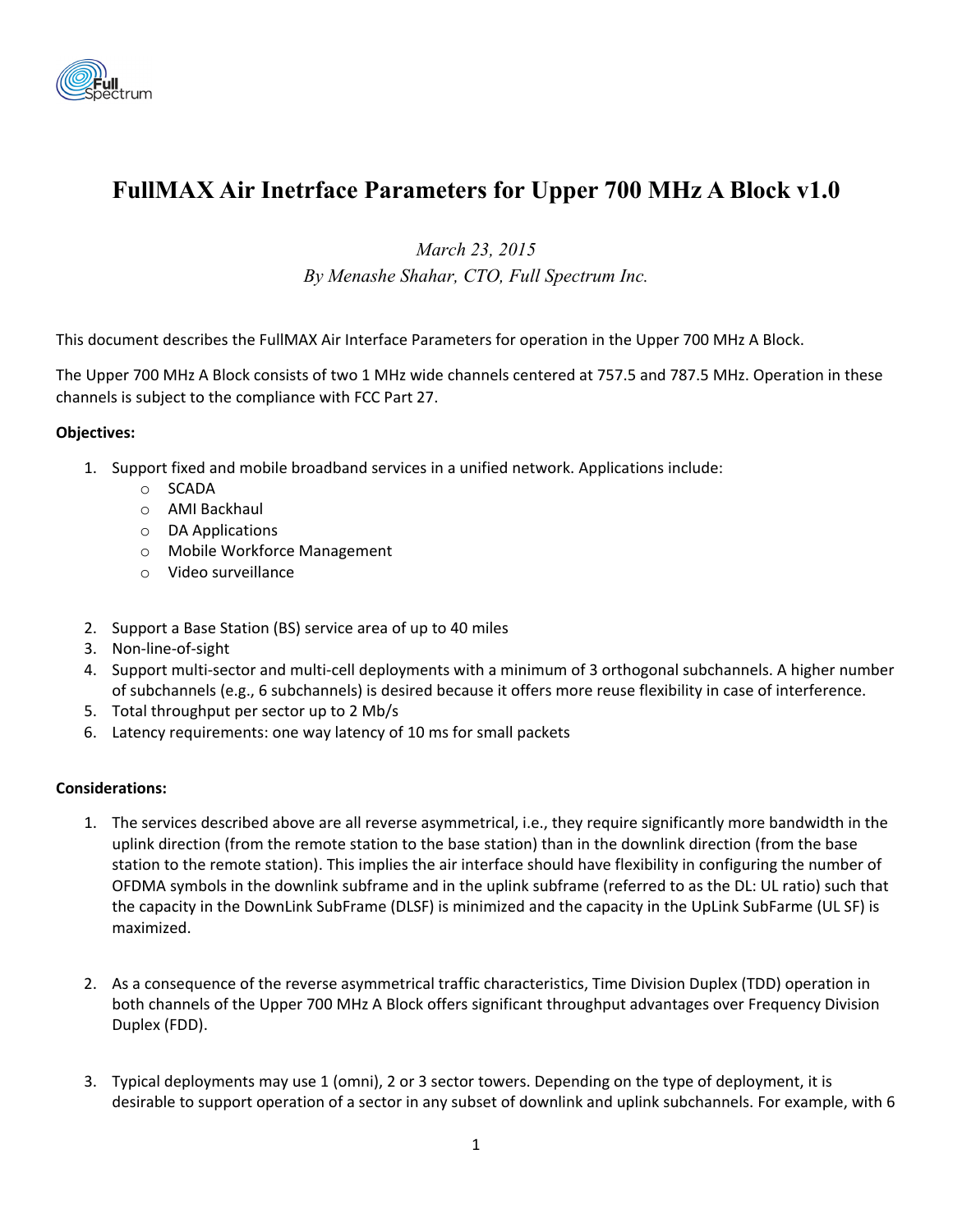

# **FullMAX Air Inetrface Parameters for Upper 700 MHz A Block v1.0**

*March 23, 2015* 

*By Menashe Shahar, CTO, Full Spectrum Inc.* 

This document describes the FullMAX Air Interface Parameters for operation in the Upper 700 MHz A Block.

The Upper 700 MHz A Block consists of two 1 MHz wide channels centered at 757.5 and 787.5 MHz. Operation in these channels is subject to the compliance with FCC Part 27.

#### **Objectives:**

- 1. Support fixed and mobile broadband services in a unified network. Applications include:
	- o SCADA
	- o AMI Backhaul
	- o DA Applications
	- o Mobile Workforce Management
	- o Video surveillance
- 2. Support a Base Station (BS) service area of up to 40 miles
- 3. Non‐line‐of‐sight
- 4. Support multi‐sector and multi‐cell deployments with a minimum of 3 orthogonal subchannels. A higher number of subchannels (e.g., 6 subchannels) is desired because it offers more reuse flexibility in case of interference.
- 5. Total throughput per sector up to 2 Mb/s
- 6. Latency requirements: one way latency of 10 ms for small packets

#### **Considerations:**

- 1. The services described above are all reverse asymmetrical, i.e., they require significantly more bandwidth in the uplink direction (from the remote station to the base station) than in the downlink direction (from the base station to the remote station). This implies the air interface should have flexibility in configuring the number of OFDMA symbols in the downlink subframe and in the uplink subframe (referred to as the DL: UL ratio) such that the capacity in the DownLink SubFrame (DLSF) is minimized and the capacity in the UpLink SubFarme (UL SF) is maximized.
- 2. As a consequence of the reverse asymmetrical traffic characteristics, Time Division Duplex (TDD) operation in both channels of the Upper 700 MHz A Block offers significant throughput advantages over Frequency Division Duplex (FDD).
- 3. Typical deployments may use 1 (omni), 2 or 3 sector towers. Depending on the type of deployment, it is desirable to support operation of a sector in any subset of downlink and uplink subchannels. For example, with 6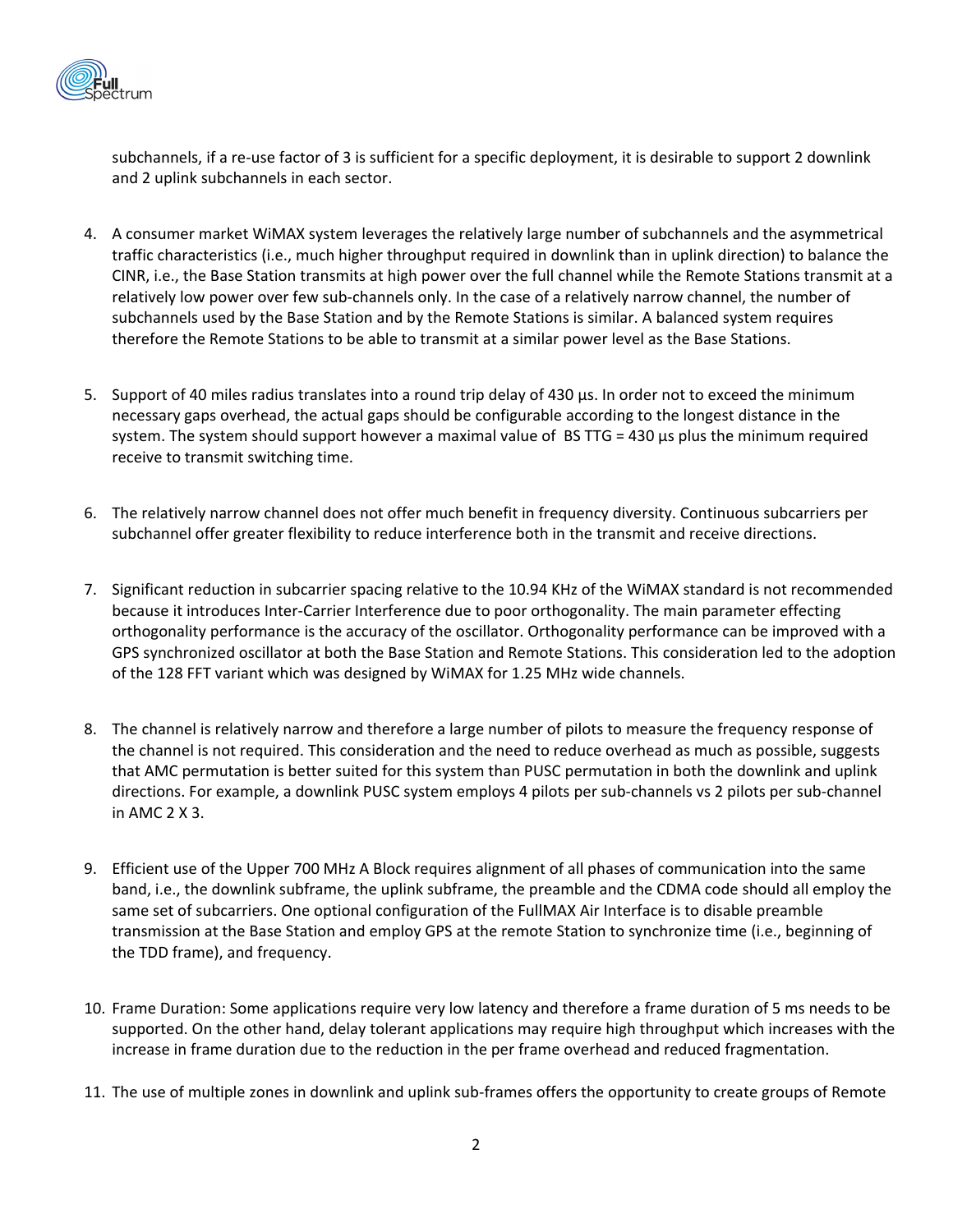

subchannels, if a re-use factor of 3 is sufficient for a specific deployment, it is desirable to support 2 downlink and 2 uplink subchannels in each sector.

- 4. A consumer market WiMAX system leverages the relatively large number of subchannels and the asymmetrical traffic characteristics (i.e., much higher throughput required in downlink than in uplink direction) to balance the CINR, i.e., the Base Station transmits at high power over the full channel while the Remote Stations transmit at a relatively low power over few sub‐channels only. In the case of a relatively narrow channel, the number of subchannels used by the Base Station and by the Remote Stations is similar. A balanced system requires therefore the Remote Stations to be able to transmit at a similar power level as the Base Stations.
- 5. Support of 40 miles radius translates into a round trip delay of 430 µs. In order not to exceed the minimum necessary gaps overhead, the actual gaps should be configurable according to the longest distance in the system. The system should support however a maximal value of BS TTG = 430 µs plus the minimum required receive to transmit switching time.
- 6. The relatively narrow channel does not offer much benefit in frequency diversity. Continuous subcarriers per subchannel offer greater flexibility to reduce interference both in the transmit and receive directions.
- 7. Significant reduction in subcarrier spacing relative to the 10.94 KHz of the WiMAX standard is not recommended because it introduces Inter‐Carrier Interference due to poor orthogonality. The main parameter effecting orthogonality performance is the accuracy of the oscillator. Orthogonality performance can be improved with a GPS synchronized oscillator at both the Base Station and Remote Stations. This consideration led to the adoption of the 128 FFT variant which was designed by WiMAX for 1.25 MHz wide channels.
- 8. The channel is relatively narrow and therefore a large number of pilots to measure the frequency response of the channel is not required. This consideration and the need to reduce overhead as much as possible, suggests that AMC permutation is better suited for this system than PUSC permutation in both the downlink and uplink directions. For example, a downlink PUSC system employs 4 pilots per sub‐channels vs 2 pilots per sub‐channel in AMC 2 X 3.
- 9. Efficient use of the Upper 700 MHz A Block requires alignment of all phases of communication into the same band, i.e., the downlink subframe, the uplink subframe, the preamble and the CDMA code should all employ the same set of subcarriers. One optional configuration of the FullMAX Air Interface is to disable preamble transmission at the Base Station and employ GPS at the remote Station to synchronize time (i.e., beginning of the TDD frame), and frequency.
- 10. Frame Duration: Some applications require very low latency and therefore a frame duration of 5 ms needs to be supported. On the other hand, delay tolerant applications may require high throughput which increases with the increase in frame duration due to the reduction in the per frame overhead and reduced fragmentation.
- 11. The use of multiple zones in downlink and uplink sub‐frames offers the opportunity to create groups of Remote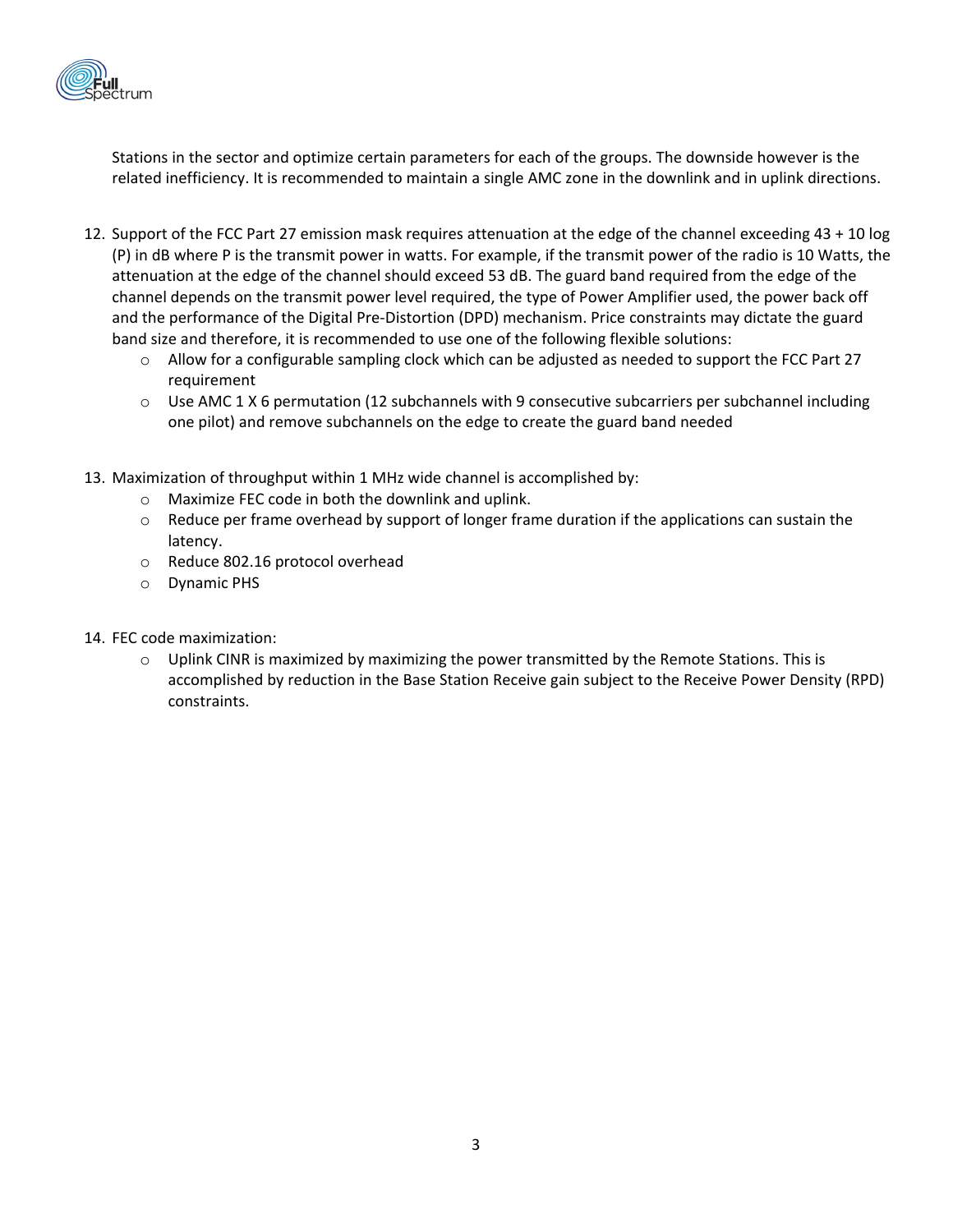

Stations in the sector and optimize certain parameters for each of the groups. The downside however is the related inefficiency. It is recommended to maintain a single AMC zone in the downlink and in uplink directions.

- 12. Support of the FCC Part 27 emission mask requires attenuation at the edge of the channel exceeding 43 + 10 log (P) in dB where P is the transmit power in watts. For example, if the transmit power of the radio is 10 Watts, the attenuation at the edge of the channel should exceed 53 dB. The guard band required from the edge of the channel depends on the transmit power level required, the type of Power Amplifier used, the power back off and the performance of the Digital Pre‐Distortion (DPD) mechanism. Price constraints may dictate the guard band size and therefore, it is recommended to use one of the following flexible solutions:
	- $\circ$  Allow for a configurable sampling clock which can be adjusted as needed to support the FCC Part 27 requirement
	- $\circ$  Use AMC 1 X 6 permutation (12 subchannels with 9 consecutive subcarriers per subchannel including one pilot) and remove subchannels on the edge to create the guard band needed
- 13. Maximization of throughput within 1 MHz wide channel is accomplished by:
	- o Maximize FEC code in both the downlink and uplink.
	- $\circ$  Reduce per frame overhead by support of longer frame duration if the applications can sustain the latency.
	- o Reduce 802.16 protocol overhead
	- o Dynamic PHS
- 14. FEC code maximization:
	- $\circ$  Uplink CINR is maximized by maximizing the power transmitted by the Remote Stations. This is accomplished by reduction in the Base Station Receive gain subject to the Receive Power Density (RPD) constraints.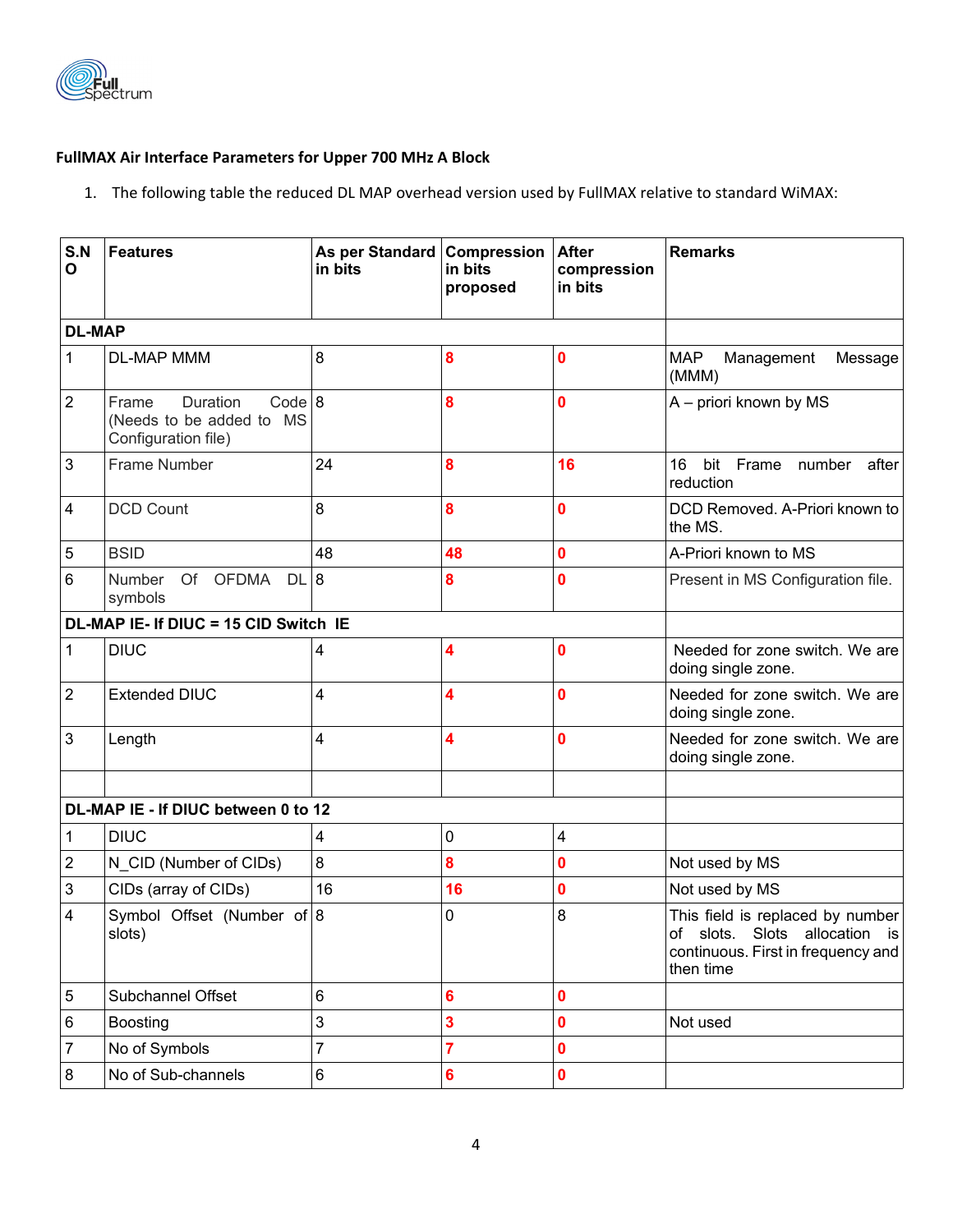

### **FullMAX Air Interface Parameters for Upper 700 MHz A Block**

1. The following table the reduced DL MAP overhead version used by FullMAX relative to standard WiMAX:

| S.N<br>$\mathbf{o}$ | <b>Features</b>                                                                | As per Standard Compression<br>in bits | in bits<br>proposed | <b>After</b><br>compression<br>in bits | <b>Remarks</b>                                                                                                       |
|---------------------|--------------------------------------------------------------------------------|----------------------------------------|---------------------|----------------------------------------|----------------------------------------------------------------------------------------------------------------------|
| <b>DL-MAP</b>       |                                                                                |                                        |                     |                                        |                                                                                                                      |
| $\mathbf{1}$        | DL-MAP MMM                                                                     | 8                                      | 8                   | 0                                      | <b>MAP</b><br>Management<br>Message<br>(MMM)                                                                         |
| $\overline{2}$      | Code 8<br>Duration<br>Frame<br>(Needs to be added to MS<br>Configuration file) |                                        | 8                   | $\bf{0}$                               | A - priori known by MS                                                                                               |
| $\mathbf{3}$        | <b>Frame Number</b>                                                            | 24                                     | 8                   | 16                                     | 16<br>bit Frame<br>number<br>after<br>reduction                                                                      |
| $\overline{4}$      | <b>DCD Count</b>                                                               | 8                                      | 8                   | $\mathbf{0}$                           | DCD Removed. A-Priori known to<br>the MS.                                                                            |
| $5\phantom{.0}$     | <b>BSID</b>                                                                    | 48                                     | 48                  | $\mathbf 0$                            | A-Priori known to MS                                                                                                 |
| $6\phantom{1}6$     | Of OFDMA<br>DL 8<br>Number<br>symbols                                          |                                        | 8                   | $\bf{0}$                               | Present in MS Configuration file.                                                                                    |
|                     | DL-MAP IE- If DIUC = 15 CID Switch IE                                          |                                        |                     |                                        |                                                                                                                      |
| $\mathbf{1}$        | <b>DIUC</b>                                                                    | 4                                      | 4                   | $\bf{0}$                               | Needed for zone switch. We are<br>doing single zone.                                                                 |
| $\overline{2}$      | <b>Extended DIUC</b>                                                           | 4                                      | 4                   | $\mathbf{0}$                           | Needed for zone switch. We are<br>doing single zone.                                                                 |
| $\mathfrak{B}$      | Length                                                                         | 4                                      | 4                   | $\bf{0}$                               | Needed for zone switch. We are<br>doing single zone.                                                                 |
|                     | DL-MAP IE - If DIUC between 0 to 12                                            |                                        |                     |                                        |                                                                                                                      |
| 1                   | <b>DIUC</b>                                                                    | 4                                      | 0                   | $\overline{\mathbf{4}}$                |                                                                                                                      |
| $\overline{2}$      | N_CID (Number of CIDs)                                                         | 8                                      | 8                   | $\mathbf 0$                            | Not used by MS                                                                                                       |
| 3                   | CIDs (array of CIDs)                                                           | 16                                     | 16                  | $\bf{0}$                               | Not used by MS                                                                                                       |
| $\overline{4}$      | Symbol Offset (Number of 8<br>slots)                                           |                                        | 0                   | 8                                      | This field is replaced by number<br>of slots. Slots allocation is<br>continuous. First in frequency and<br>then time |
| $\overline{5}$      | Subchannel Offset                                                              | 6                                      | 6                   | $\pmb{0}$                              |                                                                                                                      |
| $\,6\,$             | <b>Boosting</b>                                                                | 3                                      | 3                   | $\mathbf 0$                            | Not used                                                                                                             |
| $\overline{7}$      | No of Symbols                                                                  | $\overline{7}$                         | $\overline{7}$      | $\mathbf 0$                            |                                                                                                                      |
| 8                   | No of Sub-channels                                                             | 6                                      | 6                   | $\pmb{0}$                              |                                                                                                                      |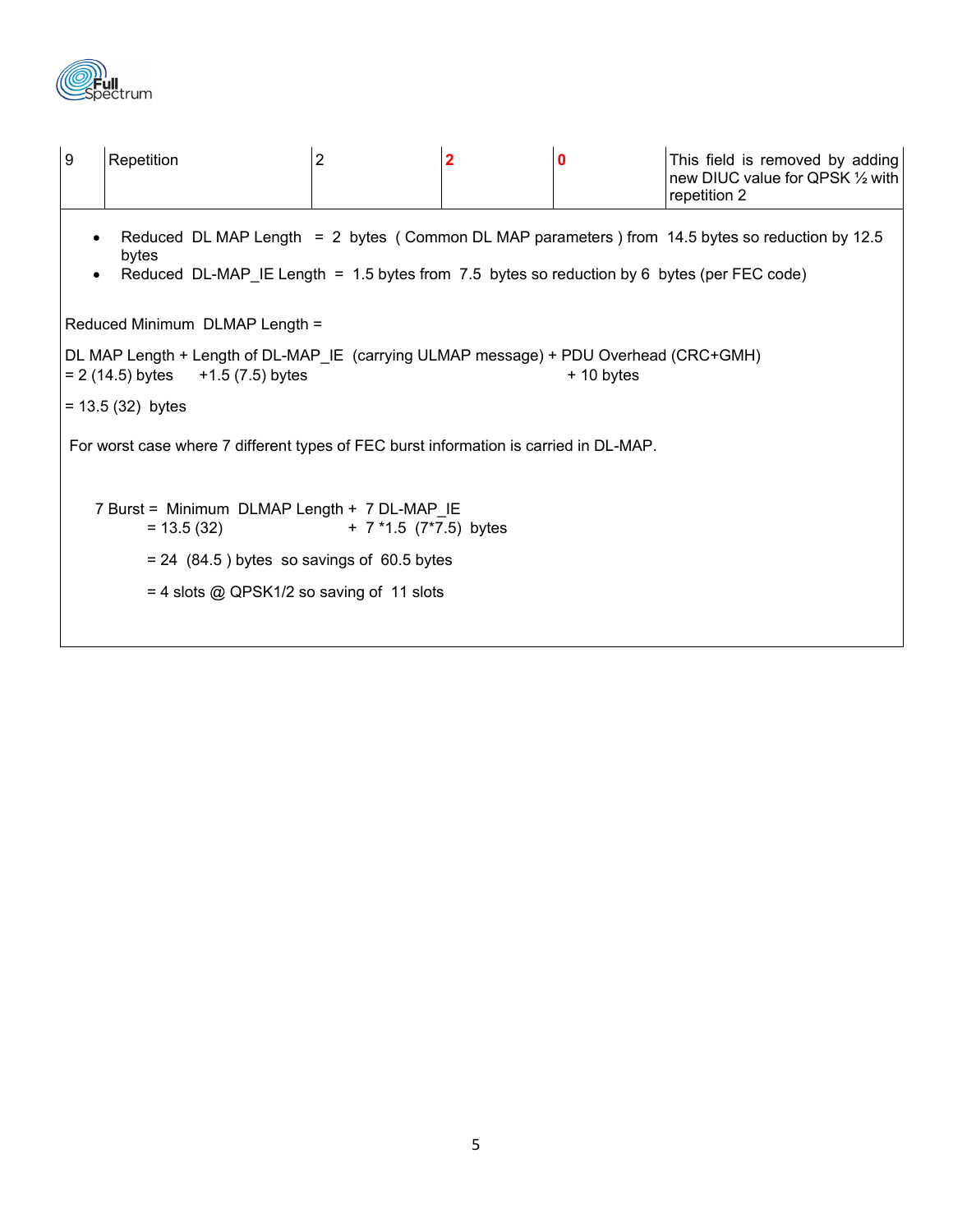

| l 9                                                                                                                                                                                                                                | Repetition                                   | 2 | $\mathbf 2$ | $\bf{0}$ | This field is removed by adding<br>new DIUC value for QPSK 1/2 with<br>repetition 2 |  |  |
|------------------------------------------------------------------------------------------------------------------------------------------------------------------------------------------------------------------------------------|----------------------------------------------|---|-------------|----------|-------------------------------------------------------------------------------------|--|--|
| Reduced DL MAP Length = 2 bytes (Common DL MAP parameters) from 14.5 bytes so reduction by 12.5<br>$\bullet$<br>bytes<br>Reduced DL-MAP IE Length = $1.5$ bytes from 7.5 bytes so reduction by 6 bytes (per FEC code)<br>$\bullet$ |                                              |   |             |          |                                                                                     |  |  |
| Reduced Minimum DLMAP Length =                                                                                                                                                                                                     |                                              |   |             |          |                                                                                     |  |  |
| DL MAP Length + Length of DL-MAP_IE (carrying ULMAP message) + PDU Overhead (CRC+GMH)<br>$= 2(14.5)$ bytes $+1.5(7.5)$ bytes<br>$+10$ bytes                                                                                        |                                              |   |             |          |                                                                                     |  |  |
| $= 13.5(32)$ bytes                                                                                                                                                                                                                 |                                              |   |             |          |                                                                                     |  |  |
| For worst case where 7 different types of FEC burst information is carried in DL-MAP.                                                                                                                                              |                                              |   |             |          |                                                                                     |  |  |
| 7 Burst = Minimum DLMAP Length + 7 DL-MAP_IE<br>$+ 7*1.5 (7*7.5)$ bytes<br>$= 13.5(32)$                                                                                                                                            |                                              |   |             |          |                                                                                     |  |  |
|                                                                                                                                                                                                                                    | $= 24$ (84.5) bytes so savings of 60.5 bytes |   |             |          |                                                                                     |  |  |
|                                                                                                                                                                                                                                    | $=$ 4 slots @ QPSK1/2 so saving of 11 slots  |   |             |          |                                                                                     |  |  |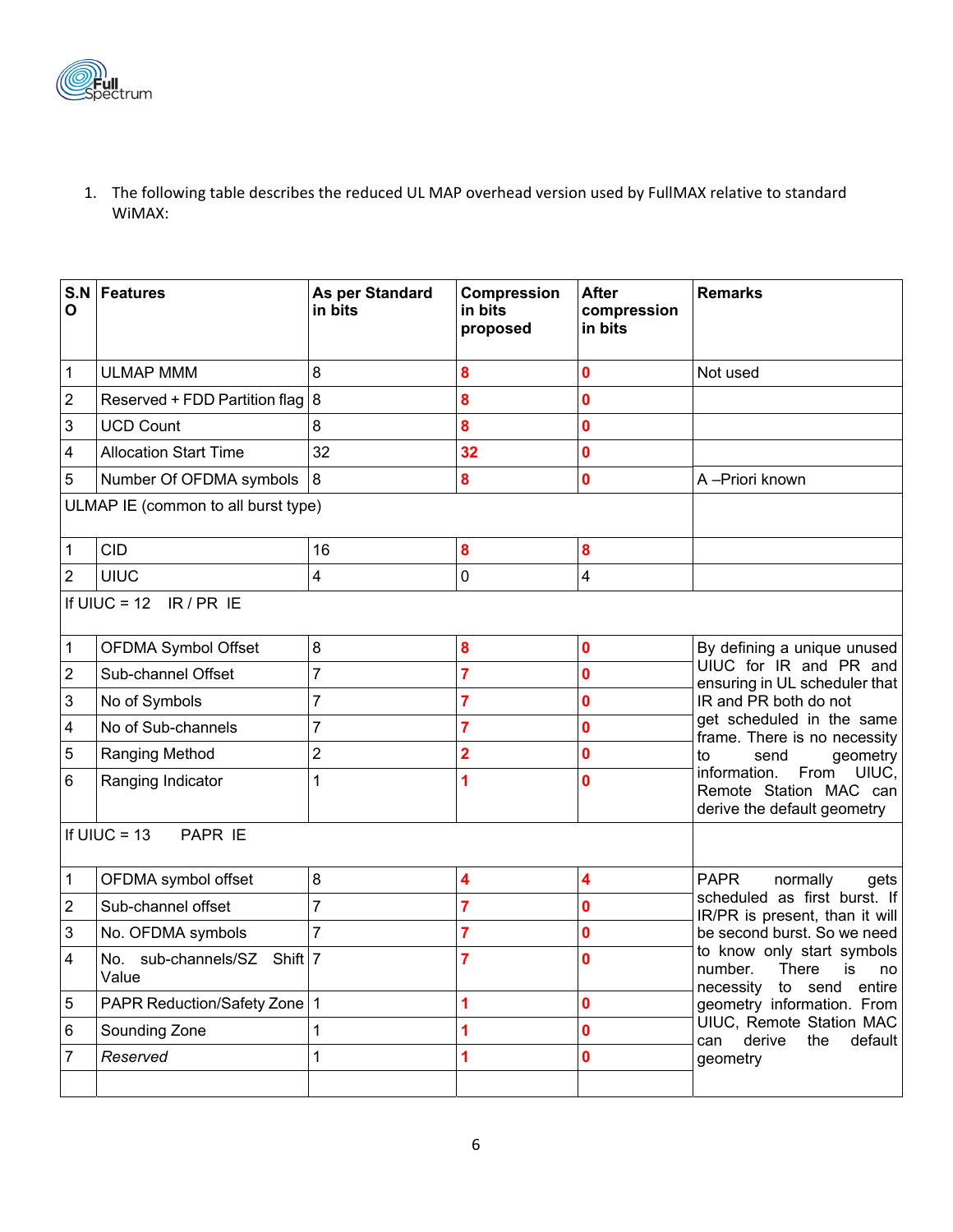

1. The following table describes the reduced UL MAP overhead version used by FullMAX relative to standard WiMAX:

| $\mathbf{o}$                        | S.N Features                         | As per Standard<br>in bits | Compression<br>in bits<br>proposed | <b>After</b><br>compression<br>in bits | <b>Remarks</b>                                                                                                                                                                                                                                                                                                                   |  |
|-------------------------------------|--------------------------------------|----------------------------|------------------------------------|----------------------------------------|----------------------------------------------------------------------------------------------------------------------------------------------------------------------------------------------------------------------------------------------------------------------------------------------------------------------------------|--|
| $\mathbf 1$                         | <b>ULMAP MMM</b>                     | 8                          | 8                                  | 0                                      | Not used                                                                                                                                                                                                                                                                                                                         |  |
| $\sqrt{2}$                          | Reserved + FDD Partition flag $ 8 $  |                            | 8                                  | 0                                      |                                                                                                                                                                                                                                                                                                                                  |  |
| $\sqrt{3}$                          | <b>UCD Count</b>                     | 8                          | 8                                  | $\mathbf 0$                            |                                                                                                                                                                                                                                                                                                                                  |  |
| $\overline{\mathbf{4}}$             | <b>Allocation Start Time</b>         | 32                         | 32                                 | 0                                      |                                                                                                                                                                                                                                                                                                                                  |  |
| $\overline{5}$                      | Number Of OFDMA symbols              | 8                          | 8                                  | 0                                      | A-Priori known                                                                                                                                                                                                                                                                                                                   |  |
| ULMAP IE (common to all burst type) |                                      |                            |                                    |                                        |                                                                                                                                                                                                                                                                                                                                  |  |
| $\mathbf 1$                         | <b>CID</b>                           | 16                         | 8                                  | ${\bf 8}$                              |                                                                                                                                                                                                                                                                                                                                  |  |
| $\overline{2}$                      | <b>UIUC</b>                          | 4                          | 0                                  | 4                                      |                                                                                                                                                                                                                                                                                                                                  |  |
|                                     | If UIUC = 12 $IR/PR$ IE              |                            |                                    |                                        |                                                                                                                                                                                                                                                                                                                                  |  |
| $\mathbf{1}$                        | OFDMA Symbol Offset                  | 8                          | 8                                  | $\mathbf 0$                            | By defining a unique unused                                                                                                                                                                                                                                                                                                      |  |
| $\sqrt{2}$                          | Sub-channel Offset                   | $\overline{7}$             | 7                                  | $\mathbf 0$                            | UIUC for IR and PR and<br>ensuring in UL scheduler that<br>IR and PR both do not<br>get scheduled in the same<br>frame. There is no necessity<br>to<br>send<br>geometry<br>information.<br>From<br>UIUC,<br>Remote Station MAC can<br>derive the default geometry                                                                |  |
| $\sqrt{3}$                          | No of Symbols                        | $\overline{7}$             | 7                                  | $\mathbf 0$                            |                                                                                                                                                                                                                                                                                                                                  |  |
| $\overline{\mathbf{4}}$             | No of Sub-channels                   | $\overline{7}$             | 7                                  | 0                                      |                                                                                                                                                                                                                                                                                                                                  |  |
| $\overline{5}$                      | Ranging Method                       | $\overline{2}$             | $\overline{\mathbf{2}}$            | 0                                      |                                                                                                                                                                                                                                                                                                                                  |  |
| 6                                   | Ranging Indicator                    |                            | 1                                  | $\mathbf 0$                            |                                                                                                                                                                                                                                                                                                                                  |  |
| If $UIUC = 13$<br>PAPR IE           |                                      |                            |                                    |                                        |                                                                                                                                                                                                                                                                                                                                  |  |
| $\mathbf{1}$                        | OFDMA symbol offset                  | 8                          | 4                                  | 4                                      | <b>PAPR</b><br>normally<br>gets<br>scheduled as first burst. If<br>IR/PR is present, than it will<br>be second burst. So we need<br>to know only start symbols<br>number.<br>There<br>is<br>no<br>necessity to send entire<br>geometry information. From<br>UIUC, Remote Station MAC<br>can derive<br>the<br>default<br>geometry |  |
| $\sqrt{2}$                          | Sub-channel offset                   | $\overline{7}$             | 7                                  | 0                                      |                                                                                                                                                                                                                                                                                                                                  |  |
| $\ensuremath{\mathsf{3}}$           | No. OFDMA symbols                    | 7                          | 7                                  | 0                                      |                                                                                                                                                                                                                                                                                                                                  |  |
| $\overline{4}$                      | No. sub-channels/SZ Shift 7<br>Value |                            | 7                                  | 0                                      |                                                                                                                                                                                                                                                                                                                                  |  |
| $\overline{5}$                      | PAPR Reduction/Safety Zone 1         |                            | 1                                  | 0                                      |                                                                                                                                                                                                                                                                                                                                  |  |
| $\,6\,$                             | Sounding Zone                        |                            | 1                                  | 0                                      |                                                                                                                                                                                                                                                                                                                                  |  |
| $\overline{7}$                      | Reserved                             | 1                          | 1                                  | 0                                      |                                                                                                                                                                                                                                                                                                                                  |  |
|                                     |                                      |                            |                                    |                                        |                                                                                                                                                                                                                                                                                                                                  |  |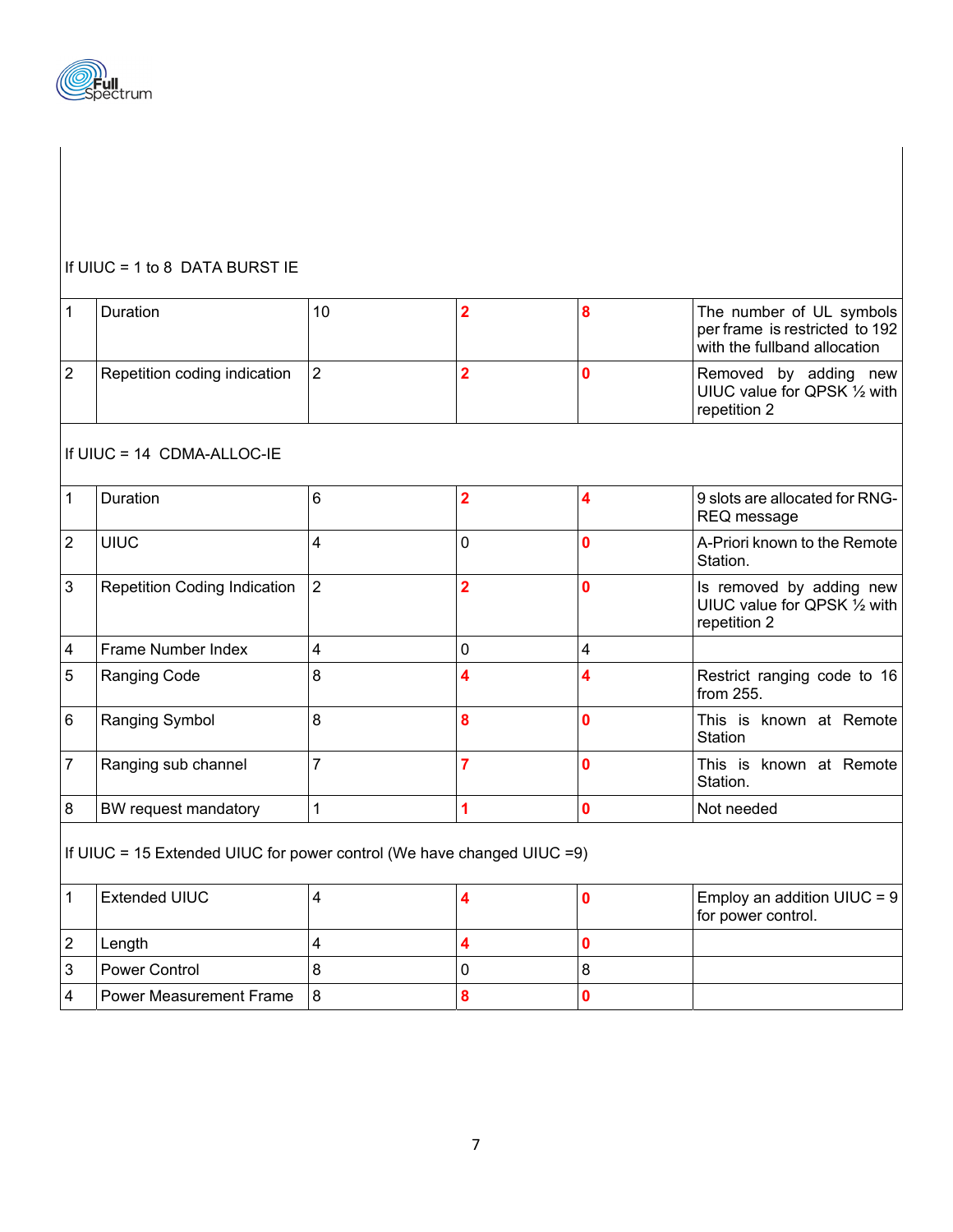

## If UIUC = 1 to 8 DATA BURST IE

| $\mathbf{1}$                                                            | Duration                            | 10             | $\overline{2}$          | 8              | The number of UL symbols<br>per frame is restricted to 192<br>with the fullband allocation |
|-------------------------------------------------------------------------|-------------------------------------|----------------|-------------------------|----------------|--------------------------------------------------------------------------------------------|
| $\overline{2}$                                                          | Repetition coding indication        | $\overline{2}$ | $\overline{\mathbf{2}}$ | $\Omega$       | Removed by adding new<br>UIUC value for QPSK 1/2 with<br>repetition 2                      |
|                                                                         | If UIUC = 14 CDMA-ALLOC-IE          |                |                         |                |                                                                                            |
| $\mathbf{1}$                                                            | Duration                            | 6              | $\overline{2}$          | 4              | 9 slots are allocated for RNG-<br>REQ message                                              |
| $ 2\rangle$                                                             | <b>UIUC</b>                         | 4              | 0                       | $\mathbf{0}$   | A-Priori known to the Remote<br>Station.                                                   |
| $\mathfrak{3}$                                                          | <b>Repetition Coding Indication</b> | $\overline{2}$ | $\overline{\mathbf{2}}$ | $\mathbf 0$    | Is removed by adding new<br>UIUC value for QPSK 1/2 with<br>repetition 2                   |
| $\overline{4}$                                                          | Frame Number Index                  | 4              | 0                       | $\overline{4}$ |                                                                                            |
| 5                                                                       | Ranging Code                        | 8              | 4                       | 4              | Restrict ranging code to 16<br>from 255.                                                   |
| $6\phantom{1}6$                                                         | Ranging Symbol                      | 8              | 8                       | $\mathbf{0}$   | This is known at Remote<br>Station                                                         |
| $\overline{7}$                                                          | Ranging sub channel                 | 7              | $\overline{7}$          | $\bf{0}$       | This is known at Remote<br>Station.                                                        |
| $\boldsymbol{8}$                                                        | BW request mandatory                | 1              | 1                       | $\mathbf 0$    | Not needed                                                                                 |
| If UIUC = 15 Extended UIUC for power control (We have changed UIUC = 9) |                                     |                |                         |                |                                                                                            |
| $\mathbf{1}$                                                            | <b>Extended UIUC</b>                | 4              | 4                       | $\mathbf{0}$   | Employ an addition UIUC = 9<br>for power control.                                          |
| $\overline{2}$                                                          | Length                              | 4              | 4                       | $\mathbf 0$    |                                                                                            |
| $\mathbf{3}$                                                            | <b>Power Control</b>                | 8              | 0                       | 8              |                                                                                            |

4 Power Measurement Frame 8 **8 8 0**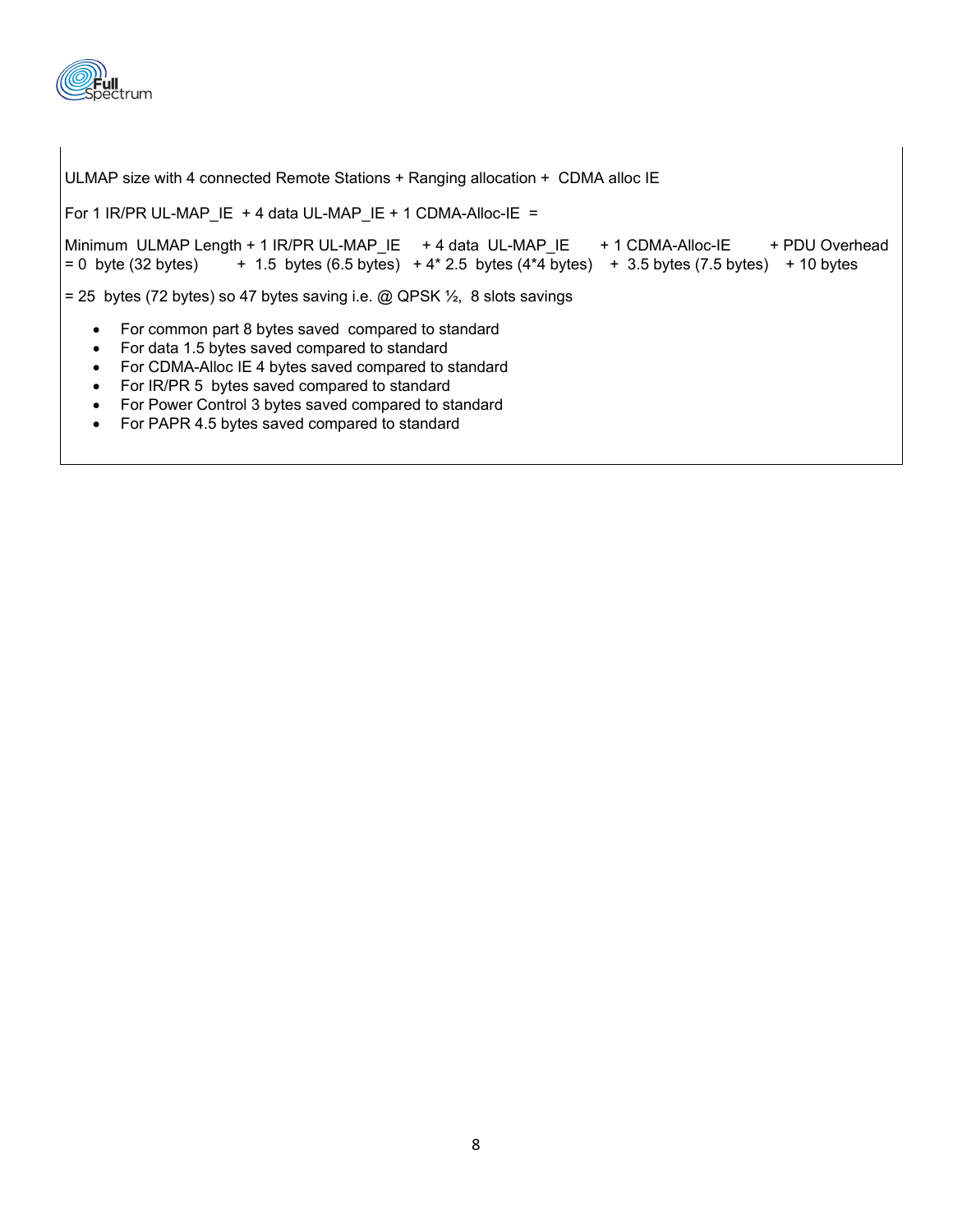

ULMAP size with 4 connected Remote Stations + Ranging allocation + CDMA alloc IE

For 1 IR/PR UL-MAP\_IE + 4 data UL-MAP\_IE + 1 CDMA-Alloc-IE =

```
Minimum ULMAP Length + 1 IR/PR UL-MAP_IE + 4 data UL-MAP_IE + 1 CDMA-Alloc-IE + PDU Overhead
= 0 byte (32 bytes) + 1.5 bytes (6.5 bytes) + 4* 2.5 bytes (4*4 bytes) + 3.5 bytes (7.5 bytes) + 10 bytes
```
= 25 bytes (72 bytes) so 47 bytes saving i.e.  $\omega$  QPSK  $\frac{1}{2}$ , 8 slots savings

- For common part 8 bytes saved compared to standard
- For data 1.5 bytes saved compared to standard
- For CDMA-Alloc IE 4 bytes saved compared to standard
- For IR/PR 5 bytes saved compared to standard
- For Power Control 3 bytes saved compared to standard
- For PAPR 4.5 bytes saved compared to standard